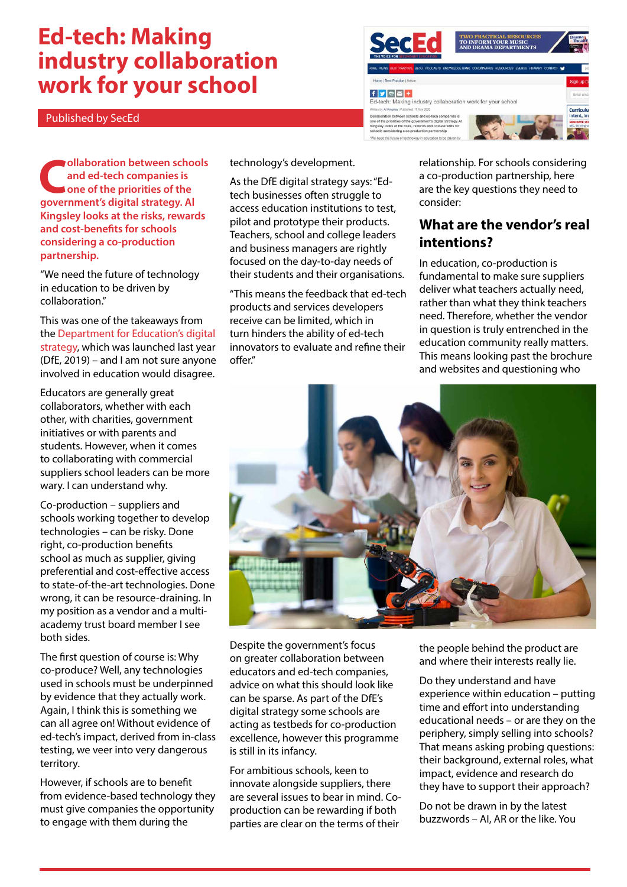# **Ed-tech: Making industry collaboration work for your school**

Published by SecEd



**v**ollaboration between schools **and ed-tech companies is one of the priorities of the government's digital strategy. Al Kingsley looks at the risks, rewards and cost-benefits for schools considering a co-production partnership.**

"We need the future of technology in education to be driven by collaboration."

This was one of the takeaways from the [Department for Education's digital](https://www.sec-ed.co.uk/blog/the-ed-tech-strategy-a-great-leap-backwards/)  [strategy](https://www.sec-ed.co.uk/blog/the-ed-tech-strategy-a-great-leap-backwards/), which was launched last year (DfE, 2019) – and I am not sure anyone involved in education would disagree.

Educators are generally great collaborators, whether with each other, with charities, government initiatives or with parents and students. However, when it comes to collaborating with commercial suppliers school leaders can be more wary. I can understand why.

Co-production – suppliers and schools working together to develop technologies – can be risky. Done right, co-production benefits school as much as supplier, giving preferential and cost-effective access to state-of-the-art technologies. Done wrong, it can be resource-draining. In my position as a vendor and a multiacademy trust board member I see both sides.

The first question of course is: Why co-produce? Well, any technologies used in schools must be underpinned by evidence that they actually work. Again, I think this is something we can all agree on! Without evidence of ed-tech's impact, derived from in-class testing, we veer into very dangerous territory.

However, if schools are to benefit from evidence-based technology they must give companies the opportunity to engage with them during the

technology's development.

As the DfE digital strategy says: "Edtech businesses often struggle to access education institutions to test, pilot and prototype their products. Teachers, school and college leaders and business managers are rightly focused on the day-to-day needs of their students and their organisations.

"This means the feedback that ed-tech products and services developers receive can be limited, which in turn hinders the ability of ed-tech innovators to evaluate and refine their offer."

relationship. For schools considering a co-production partnership, here are the key questions they need to consider:

#### **What are the vendor's real intentions?**

In education, co-production is fundamental to make sure suppliers deliver what teachers actually need, rather than what they think teachers need. Therefore, whether the vendor in question is truly entrenched in the education community really matters. This means looking past the brochure and websites and questioning who



Despite the government's focus on greater collaboration between educators and ed-tech companies, advice on what this should look like can be sparse. As part of the DfE's digital strategy some schools are acting as testbeds for co-production excellence, however this programme is still in its infancy.

For ambitious schools, keen to innovate alongside suppliers, there are several issues to bear in mind. Coproduction can be rewarding if both parties are clear on the terms of their

the people behind the product are and where their interests really lie.

Do they understand and have experience within education – putting time and effort into understanding educational needs – or are they on the periphery, simply selling into schools? That means asking probing questions: their background, external roles, what impact, evidence and research do they have to support their approach?

Do not be drawn in by the latest buzzwords – AI, AR or the like. You